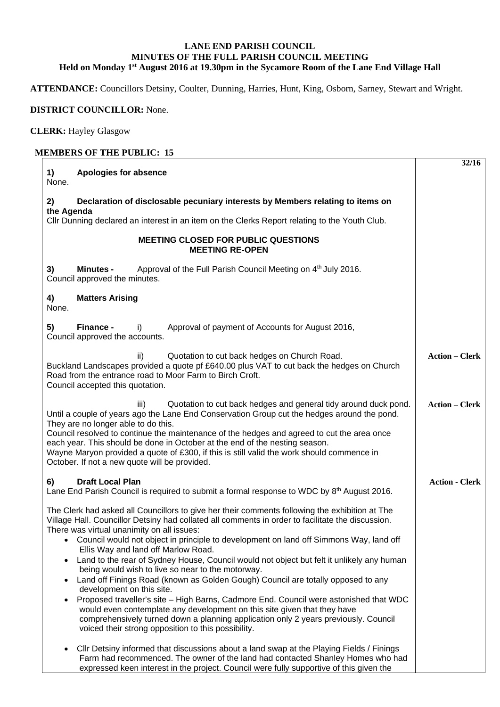## **LANE END PARISH COUNCIL MINUTES OF THE FULL PARISH COUNCIL MEETING Held on Monday 1st August 2016 at 19.30pm in the Sycamore Room of the Lane End Village Hall**

**ATTENDANCE:** Councillors Detsiny, Coulter, Dunning, Harries, Hunt, King, Osborn, Sarney, Stewart and Wright.

**32/16** 

## **DISTRICT COUNCILLOR:** None.

**CLERK:** Hayley Glasgow

## **MEMBERS OF THE PUBLIC: 15 1) Apologies for absence**  None. **2) Declaration of disclosable pecuniary interests by Members relating to items on the Agenda**  Cllr Dunning declared an interest in an item on the Clerks Report relating to the Youth Club. **MEETING CLOSED FOR PUBLIC QUESTIONS MEETING RE-OPEN 3) Minutes -** Approval of the Full Parish Council Meeting on 4<sup>th</sup> July 2016. Council approved the minutes. **4) Matters Arising**  None. **5) Finance -** i) Approval of payment of Accounts for August 2016, Council approved the accounts. ii) Quotation to cut back hedges on Church Road. Buckland Landscapes provided a quote pf £640.00 plus VAT to cut back the hedges on Church Road from the entrance road to Moor Farm to Birch Croft. Council accepted this quotation. iii) Quotation to cut back hedges and general tidy around duck pond. Until a couple of years ago the Lane End Conservation Group cut the hedges around the pond. They are no longer able to do this. Council resolved to continue the maintenance of the hedges and agreed to cut the area once each year. This should be done in October at the end of the nesting season. Wayne Maryon provided a quote of £300, if this is still valid the work should commence in October. If not a new quote will be provided. **6) Draft Local Plan**  Lane End Parish Council is required to submit a formal response to WDC by 8<sup>th</sup> August 2016. The Clerk had asked all Councillors to give her their comments following the exhibition at The Village Hall. Councillor Detsiny had collated all comments in order to facilitate the discussion. There was virtual unanimity on all issues: Council would not object in principle to development on land off Simmons Way, land off Ellis Way and land off Marlow Road. • Land to the rear of Sydney House, Council would not object but felt it unlikely any human being would wish to live so near to the motorway. **Action – Clerk Action – Clerk Action - Clerk**

- Land off Finings Road (known as Golden Gough) Council are totally opposed to any development on this site. Proposed traveller's site – High Barns, Cadmore End. Council were astonished that WDC
- would even contemplate any development on this site given that they have comprehensively turned down a planning application only 2 years previously. Council voiced their strong opposition to this possibility.
- Cllr Detsiny informed that discussions about a land swap at the Playing Fields / Finings Farm had recommenced. The owner of the land had contacted Shanley Homes who had expressed keen interest in the project. Council were fully supportive of this given the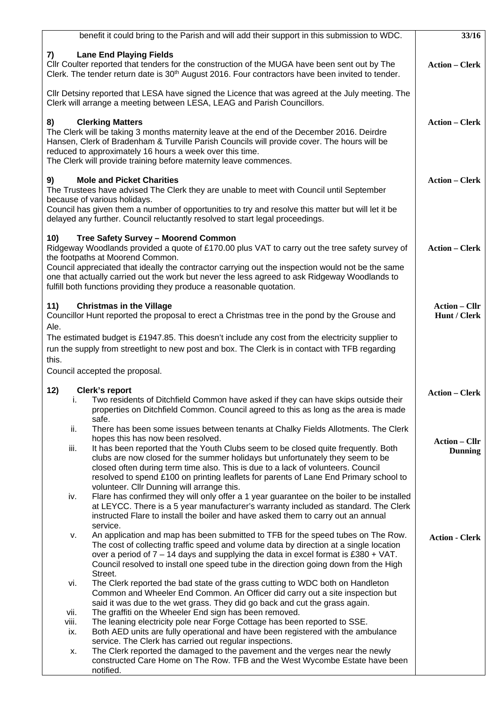|                      | benefit it could bring to the Parish and will add their support in this submission to WDC.                                                                                                                                                                                                                                                                                                                                                                                                                                         | 33/16                                  |
|----------------------|------------------------------------------------------------------------------------------------------------------------------------------------------------------------------------------------------------------------------------------------------------------------------------------------------------------------------------------------------------------------------------------------------------------------------------------------------------------------------------------------------------------------------------|----------------------------------------|
| 7)                   | <b>Lane End Playing Fields</b><br>Cllr Coulter reported that tenders for the construction of the MUGA have been sent out by The<br>Clerk. The tender return date is $30th$ August 2016. Four contractors have been invited to tender.                                                                                                                                                                                                                                                                                              | <b>Action – Clerk</b>                  |
|                      | Cllr Detsiny reported that LESA have signed the Licence that was agreed at the July meeting. The<br>Clerk will arrange a meeting between LESA, LEAG and Parish Councillors.                                                                                                                                                                                                                                                                                                                                                        |                                        |
| 8)                   | <b>Clerking Matters</b><br>The Clerk will be taking 3 months maternity leave at the end of the December 2016. Deirdre<br>Hansen, Clerk of Bradenham & Turville Parish Councils will provide cover. The hours will be<br>reduced to approximately 16 hours a week over this time.<br>The Clerk will provide training before maternity leave commences.                                                                                                                                                                              | <b>Action - Clerk</b>                  |
| 9)                   | <b>Mole and Picket Charities</b><br>The Trustees have advised The Clerk they are unable to meet with Council until September<br>because of various holidays.<br>Council has given them a number of opportunities to try and resolve this matter but will let it be<br>delayed any further. Council reluctantly resolved to start legal proceedings.                                                                                                                                                                                | <b>Action – Clerk</b>                  |
| 10)                  | Tree Safety Survey - Moorend Common<br>Ridgeway Woodlands provided a quote of £170.00 plus VAT to carry out the tree safety survey of<br>the footpaths at Moorend Common.<br>Council appreciated that ideally the contractor carrying out the inspection would not be the same<br>one that actually carried out the work but never the less agreed to ask Ridgeway Woodlands to<br>fulfill both functions providing they produce a reasonable quotation.                                                                           | <b>Action – Clerk</b>                  |
| 11)<br>Ale.<br>this. | <b>Christmas in the Village</b><br>Councillor Hunt reported the proposal to erect a Christmas tree in the pond by the Grouse and<br>The estimated budget is £1947.85. This doesn't include any cost from the electricity supplier to<br>run the supply from streetlight to new post and box. The Clerk is in contact with TFB regarding                                                                                                                                                                                            | <b>Action – Cllr</b><br>Hunt / Clerk   |
|                      | Council accepted the proposal.                                                                                                                                                                                                                                                                                                                                                                                                                                                                                                     |                                        |
| 12)<br>İ.            | <b>Clerk's report</b><br>Two residents of Ditchfield Common have asked if they can have skips outside their<br>properties on Ditchfield Common. Council agreed to this as long as the area is made                                                                                                                                                                                                                                                                                                                                 | <b>Action – Clerk</b>                  |
| ii.<br>iii.          | safe.<br>There has been some issues between tenants at Chalky Fields Allotments. The Clerk<br>hopes this has now been resolved.<br>It has been reported that the Youth Clubs seem to be closed quite frequently. Both<br>clubs are now closed for the summer holidays but unfortunately they seem to be<br>closed often during term time also. This is due to a lack of volunteers. Council<br>resolved to spend £100 on printing leaflets for parents of Lane End Primary school to<br>volunteer. Cllr Dunning will arrange this. | <b>Action – Cllr</b><br><b>Dunning</b> |
| iv.                  | Flare has confirmed they will only offer a 1 year guarantee on the boiler to be installed<br>at LEYCC. There is a 5 year manufacturer's warranty included as standard. The Clerk<br>instructed Flare to install the boiler and have asked them to carry out an annual<br>service.                                                                                                                                                                                                                                                  |                                        |
| ν.                   | An application and map has been submitted to TFB for the speed tubes on The Row.<br>The cost of collecting traffic speed and volume data by direction at a single location<br>over a period of $7 - 14$ days and supplying the data in excel format is £380 + VAT.<br>Council resolved to install one speed tube in the direction going down from the High<br>Street.                                                                                                                                                              | <b>Action - Clerk</b>                  |
| vi.                  | The Clerk reported the bad state of the grass cutting to WDC both on Handleton<br>Common and Wheeler End Common. An Officer did carry out a site inspection but<br>said it was due to the wet grass. They did go back and cut the grass again.                                                                                                                                                                                                                                                                                     |                                        |
| vii.                 | The graffiti on the Wheeler End sign has been removed.                                                                                                                                                                                                                                                                                                                                                                                                                                                                             |                                        |
| viii.<br>ix.         | The leaning electricity pole near Forge Cottage has been reported to SSE.<br>Both AED units are fully operational and have been registered with the ambulance<br>service. The Clerk has carried out regular inspections.                                                                                                                                                                                                                                                                                                           |                                        |
| х.                   | The Clerk reported the damaged to the pavement and the verges near the newly<br>constructed Care Home on The Row. TFB and the West Wycombe Estate have been<br>notified.                                                                                                                                                                                                                                                                                                                                                           |                                        |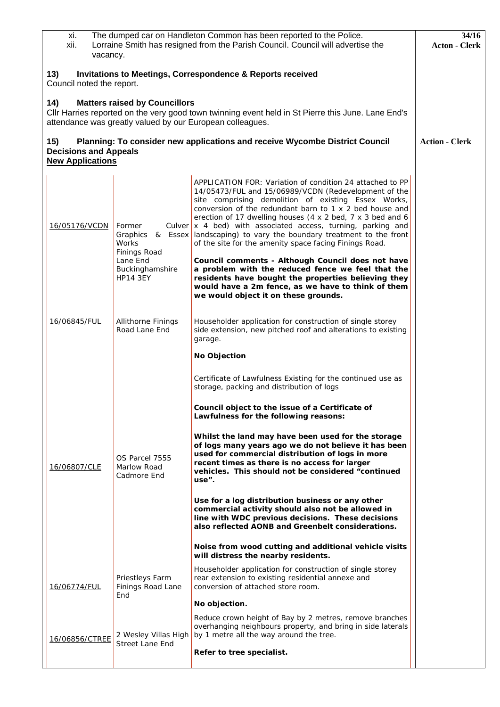| The dumped car on Handleton Common has been reported to the Police.<br>xi.<br>Lorraine Smith has resigned from the Parish Council. Council will advertise the<br>xii.<br>vacancy. |                                                                |                                                                                                          |                                                                                                                                                                                                                                                                                                                                                                                                                                                                                                                                                                                                                                                                                                                                                          | 34/16<br><b>Acton - Clerk</b> |  |  |  |
|-----------------------------------------------------------------------------------------------------------------------------------------------------------------------------------|----------------------------------------------------------------|----------------------------------------------------------------------------------------------------------|----------------------------------------------------------------------------------------------------------------------------------------------------------------------------------------------------------------------------------------------------------------------------------------------------------------------------------------------------------------------------------------------------------------------------------------------------------------------------------------------------------------------------------------------------------------------------------------------------------------------------------------------------------------------------------------------------------------------------------------------------------|-------------------------------|--|--|--|
| 13)<br><b>Invitations to Meetings, Correspondence &amp; Reports received</b><br>Council noted the report.                                                                         |                                                                |                                                                                                          |                                                                                                                                                                                                                                                                                                                                                                                                                                                                                                                                                                                                                                                                                                                                                          |                               |  |  |  |
|                                                                                                                                                                                   | 14)                                                            | <b>Matters raised by Councillors</b>                                                                     | Cllr Harries reported on the very good town twinning event held in St Pierre this June. Lane End's<br>attendance was greatly valued by our European colleagues.                                                                                                                                                                                                                                                                                                                                                                                                                                                                                                                                                                                          |                               |  |  |  |
|                                                                                                                                                                                   | 15)<br><b>Decisions and Appeals</b><br><b>New Applications</b> |                                                                                                          | Planning: To consider new applications and receive Wycombe District Council                                                                                                                                                                                                                                                                                                                                                                                                                                                                                                                                                                                                                                                                              | <b>Action - Clerk</b>         |  |  |  |
|                                                                                                                                                                                   | 16/05176/VCDN                                                  | Former<br>Graphics<br>& Essex<br>Works<br>Finings Road<br>Lane End<br>Buckinghamshire<br><b>HP14 3EY</b> | APPLICATION FOR: Variation of condition 24 attached to PP<br>14/05473/FUL and 15/06989/VCDN (Redevelopment of the<br>site comprising demolition of existing Essex Works,<br>conversion of the redundant barn to 1 x 2 bed house and<br>erection of 17 dwelling houses (4 x 2 bed, 7 x 3 bed and 6<br>Culver $x$ 4 bed) with associated access, turning, parking and<br>landscaping) to vary the boundary treatment to the front<br>of the site for the amenity space facing Finings Road.<br>Council comments - Although Council does not have<br>a problem with the reduced fence we feel that the<br>residents have bought the properties believing they<br>would have a 2m fence, as we have to think of them<br>we would object it on these grounds. |                               |  |  |  |
|                                                                                                                                                                                   | 16/06845/FUL                                                   | Allithorne Finings<br>Road Lane End                                                                      | Householder application for construction of single storey<br>side extension, new pitched roof and alterations to existing<br>garage.                                                                                                                                                                                                                                                                                                                                                                                                                                                                                                                                                                                                                     |                               |  |  |  |
|                                                                                                                                                                                   |                                                                |                                                                                                          | No Objection                                                                                                                                                                                                                                                                                                                                                                                                                                                                                                                                                                                                                                                                                                                                             |                               |  |  |  |
|                                                                                                                                                                                   |                                                                |                                                                                                          | Certificate of Lawfulness Existing for the continued use as<br>storage, packing and distribution of logs<br>Council object to the issue of a Certificate of<br>Lawfulness for the following reasons:                                                                                                                                                                                                                                                                                                                                                                                                                                                                                                                                                     |                               |  |  |  |
|                                                                                                                                                                                   | 16/06807/CLE                                                   | OS Parcel 7555<br>Marlow Road<br>Cadmore End                                                             | Whilst the land may have been used for the storage<br>of logs many years ago we do not believe it has been<br>used for commercial distribution of logs in more<br>recent times as there is no access for larger<br>vehicles. This should not be considered "continued<br>use".                                                                                                                                                                                                                                                                                                                                                                                                                                                                           |                               |  |  |  |
|                                                                                                                                                                                   |                                                                |                                                                                                          | Use for a log distribution business or any other<br>commercial activity should also not be allowed in<br>line with WDC previous decisions. These decisions<br>also reflected AONB and Greenbelt considerations.                                                                                                                                                                                                                                                                                                                                                                                                                                                                                                                                          |                               |  |  |  |
|                                                                                                                                                                                   |                                                                |                                                                                                          | Noise from wood cutting and additional vehicle visits<br>will distress the nearby residents.                                                                                                                                                                                                                                                                                                                                                                                                                                                                                                                                                                                                                                                             |                               |  |  |  |
|                                                                                                                                                                                   | <u>16/06774/FUL</u>                                            | Priestleys Farm<br>Finings Road Lane<br>End                                                              | Householder application for construction of single storey<br>rear extension to existing residential annexe and<br>conversion of attached store room.                                                                                                                                                                                                                                                                                                                                                                                                                                                                                                                                                                                                     |                               |  |  |  |
|                                                                                                                                                                                   |                                                                |                                                                                                          | No objection.<br>Reduce crown height of Bay by 2 metres, remove branches                                                                                                                                                                                                                                                                                                                                                                                                                                                                                                                                                                                                                                                                                 |                               |  |  |  |
|                                                                                                                                                                                   | 16/06856/CTREE                                                 | 2 Wesley Villas High                                                                                     | overhanging neighbours property, and bring in side laterals<br>by 1 metre all the way around the tree.                                                                                                                                                                                                                                                                                                                                                                                                                                                                                                                                                                                                                                                   |                               |  |  |  |
|                                                                                                                                                                                   |                                                                | <b>Street Lane End</b>                                                                                   | Refer to tree specialist.                                                                                                                                                                                                                                                                                                                                                                                                                                                                                                                                                                                                                                                                                                                                |                               |  |  |  |
|                                                                                                                                                                                   |                                                                |                                                                                                          |                                                                                                                                                                                                                                                                                                                                                                                                                                                                                                                                                                                                                                                                                                                                                          |                               |  |  |  |